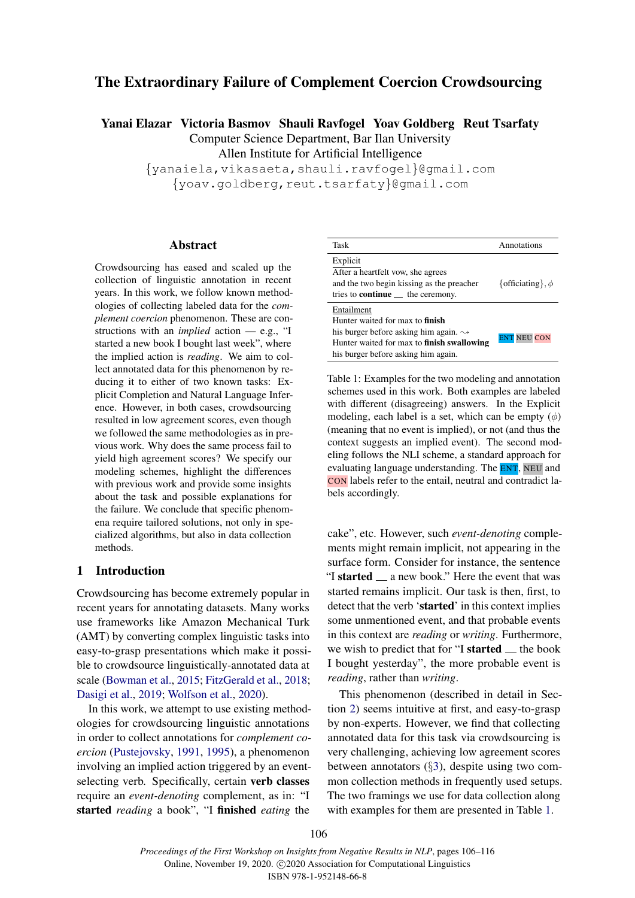# The Extraordinary Failure of Complement Coercion Crowdsourcing

Yanai Elazar Victoria Basmov Shauli Ravfogel Yoav Goldberg Reut Tsarfaty

Computer Science Department, Bar Ilan University

Allen Institute for Artificial Intelligence

{yanaiela,vikasaeta,shauli.ravfogel}@gmail.com {yoav.goldberg,reut.tsarfaty}@gmail.com

#### Abstract

Crowdsourcing has eased and scaled up the collection of linguistic annotation in recent years. In this work, we follow known methodologies of collecting labeled data for the *complement coercion* phenomenon. These are constructions with an *implied* action — e.g., "I started a new book I bought last week", where the implied action is *reading*. We aim to collect annotated data for this phenomenon by reducing it to either of two known tasks: Explicit Completion and Natural Language Inference. However, in both cases, crowdsourcing resulted in low agreement scores, even though we followed the same methodologies as in previous work. Why does the same process fail to yield high agreement scores? We specify our modeling schemes, highlight the differences with previous work and provide some insights about the task and possible explanations for the failure. We conclude that specific phenomena require tailored solutions, not only in specialized algorithms, but also in data collection methods.

## 1 Introduction

Crowdsourcing has become extremely popular in recent years for annotating datasets. Many works use frameworks like Amazon Mechanical Turk (AMT) by converting complex linguistic tasks into easy-to-grasp presentations which make it possible to crowdsource linguistically-annotated data at scale [\(Bowman et al.,](#page-5-0) [2015;](#page-5-0) [FitzGerald et al.,](#page-5-1) [2018;](#page-5-1) [Dasigi et al.,](#page-5-2) [2019;](#page-5-2) [Wolfson et al.,](#page-7-0) [2020\)](#page-7-0).

In this work, we attempt to use existing methodologies for crowdsourcing linguistic annotations in order to collect annotations for *complement coercion* [\(Pustejovsky,](#page-6-0) [1991,](#page-6-0) [1995\)](#page-6-1), a phenomenon involving an implied action triggered by an eventselecting verb. Specifically, certain verb classes require an *event-denoting* complement, as in: "I started *reading* a book", "I finished *eating* the

<span id="page-0-0"></span>

| Task                                                                                                                                                                                                       | Annotations           |
|------------------------------------------------------------------------------------------------------------------------------------------------------------------------------------------------------------|-----------------------|
| Explicit<br>After a heartfelt vow, she agrees<br>and the two begin kissing as the preacher<br>tries to <b>continue</b> $\qquad$ the ceremony.                                                              | {officiating}, $\phi$ |
| Entailment<br>Hunter waited for max to <b>finish</b><br>his burger before asking him again. $\rightsquigarrow$<br>Hunter waited for max to <b>finish swallowing</b><br>his burger before asking him again. | <b>ENT NEU CON</b>    |

Table 1: Examples for the two modeling and annotation schemes used in this work. Both examples are labeled with different (disagreeing) answers. In the Explicit modeling, each label is a set, which can be empty  $(\phi)$ (meaning that no event is implied), or not (and thus the context suggests an implied event). The second modeling follows the NLI scheme, a standard approach for evaluating language understanding. The **ENT**, NEU and CON labels refer to the entail, neutral and contradict labels accordingly.

cake", etc. However, such *event-denoting* complements might remain implicit, not appearing in the surface form. Consider for instance, the sentence "I started  $\equiv$  a new book." Here the event that was started remains implicit. Our task is then, first, to detect that the verb 'started' in this context implies some unmentioned event, and that probable events in this context are *reading* or *writing*. Furthermore, we wish to predict that for "I started  $\equiv$  the book I bought yesterday", the more probable event is *reading*, rather than *writing*.

This phenomenon (described in detail in Section [2\)](#page-1-0) seems intuitive at first, and easy-to-grasp by non-experts. However, we find that collecting annotated data for this task via crowdsourcing is very challenging, achieving low agreement scores between annotators (§[3\)](#page-2-0), despite using two common collection methods in frequently used setups. The two framings we use for data collection along with examples for them are presented in Table [1.](#page-0-0)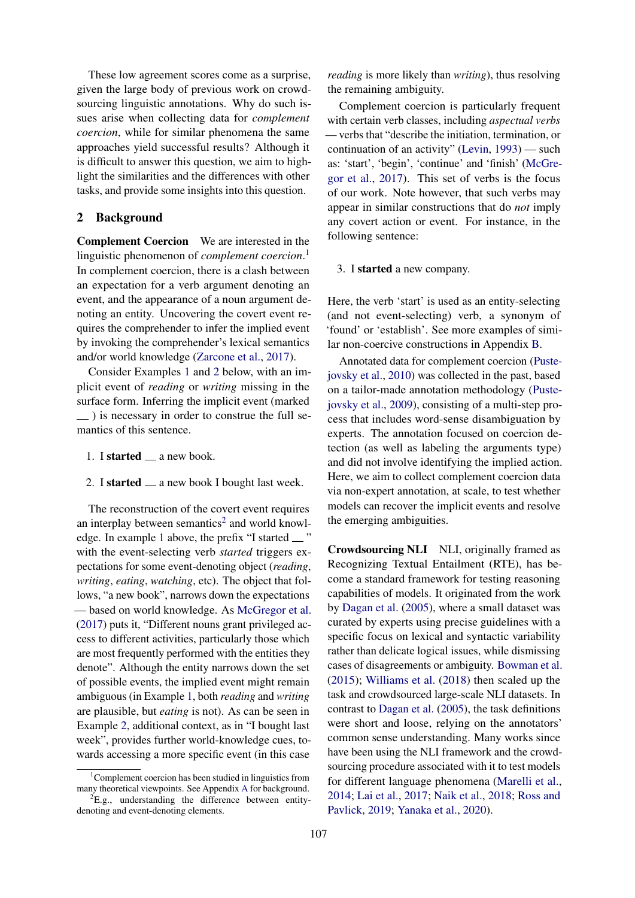These low agreement scores come as a surprise, given the large body of previous work on crowdsourcing linguistic annotations. Why do such issues arise when collecting data for *complement coercion*, while for similar phenomena the same approaches yield successful results? Although it is difficult to answer this question, we aim to highlight the similarities and the differences with other tasks, and provide some insights into this question.

#### <span id="page-1-0"></span>2 Background

Complement Coercion We are interested in the linguistic phenomenon of *complement coercion*. [1](#page-1-1) In complement coercion, there is a clash between an expectation for a verb argument denoting an event, and the appearance of a noun argument denoting an entity. Uncovering the covert event requires the comprehender to infer the implied event by invoking the comprehender's lexical semantics and/or world knowledge [\(Zarcone et al.,](#page-7-1) [2017\)](#page-7-1).

Consider Examples [1](#page-1-2) and [2](#page-1-3) below, with an implicit event of *reading* or *writing* missing in the surface form. Inferring the implicit event (marked  $\Box$ ) is necessary in order to construe the full semantics of this sentence.

- <span id="page-1-2"></span>1. I started  $\equiv$  a new book.
- <span id="page-1-3"></span>2. I started  $\equiv$  a new book I bought last week.

The reconstruction of the covert event requires an interplay between semantics<sup>[2](#page-1-4)</sup> and world knowl-edge. In example [1](#page-1-2) above, the prefix "I started  $\equiv$  " with the event-selecting verb *started* triggers expectations for some event-denoting object (*reading*, *writing*, *eating*, *watching*, etc). The object that follows, "a new book", narrows down the expectations — based on world knowledge. As [McGregor et al.](#page-6-2) [\(2017\)](#page-6-2) puts it, "Different nouns grant privileged access to different activities, particularly those which are most frequently performed with the entities they denote". Although the entity narrows down the set of possible events, the implied event might remain ambiguous (in Example [1,](#page-1-2) both *reading* and *writing* are plausible, but *eating* is not). As can be seen in Example [2,](#page-1-3) additional context, as in "I bought last week", provides further world-knowledge cues, towards accessing a more specific event (in this case

*reading* is more likely than *writing*), thus resolving the remaining ambiguity.

Complement coercion is particularly frequent with certain verb classes, including *aspectual verbs* — verbs that "describe the initiation, termination, or continuation of an activity" [\(Levin,](#page-6-3) [1993\)](#page-6-3) — such as: 'start', 'begin', 'continue' and 'finish' [\(McGre](#page-6-2)[gor et al.,](#page-6-2) [2017\)](#page-6-2). This set of verbs is the focus of our work. Note however, that such verbs may appear in similar constructions that do *not* imply any covert action or event. For instance, in the following sentence:

#### 3. I started a new company.

Here, the verb 'start' is used as an entity-selecting (and not event-selecting) verb, a synonym of 'found' or 'establish'. See more examples of similar non-coercive constructions in Appendix [B.](#page-8-1)

Annotated data for complement coercion [\(Puste](#page-7-2)[jovsky et al.,](#page-7-2) [2010\)](#page-7-2) was collected in the past, based on a tailor-made annotation methodology [\(Puste](#page-7-3)[jovsky et al.,](#page-7-3) [2009\)](#page-7-3), consisting of a multi-step process that includes word-sense disambiguation by experts. The annotation focused on coercion detection (as well as labeling the arguments type) and did not involve identifying the implied action. Here, we aim to collect complement coercion data via non-expert annotation, at scale, to test whether models can recover the implicit events and resolve the emerging ambiguities.

Crowdsourcing NLI NLI, originally framed as Recognizing Textual Entailment (RTE), has become a standard framework for testing reasoning capabilities of models. It originated from the work by [Dagan et al.](#page-5-3) [\(2005\)](#page-5-3), where a small dataset was curated by experts using precise guidelines with a specific focus on lexical and syntactic variability rather than delicate logical issues, while dismissing cases of disagreements or ambiguity. [Bowman et al.](#page-5-0) [\(2015\)](#page-5-0); [Williams et al.](#page-7-4) [\(2018\)](#page-7-4) then scaled up the task and crowdsourced large-scale NLI datasets. In contrast to [Dagan et al.](#page-5-3) [\(2005\)](#page-5-3), the task definitions were short and loose, relying on the annotators' common sense understanding. Many works since have been using the NLI framework and the crowdsourcing procedure associated with it to test models for different language phenomena [\(Marelli et al.,](#page-6-4) [2014;](#page-6-4) [Lai et al.,](#page-6-5) [2017;](#page-6-5) [Naik et al.,](#page-6-6) [2018;](#page-6-6) [Ross and](#page-7-5) [Pavlick,](#page-7-5) [2019;](#page-7-5) [Yanaka et al.,](#page-7-6) [2020\)](#page-7-6).

<span id="page-1-1"></span> $1$ Complement coercion has been studied in linguistics from many theoretical viewpoints. See Appendix [A](#page-8-0) for background.

<span id="page-1-4"></span> ${}^{2}E.g.,$  understanding the difference between entitydenoting and event-denoting elements.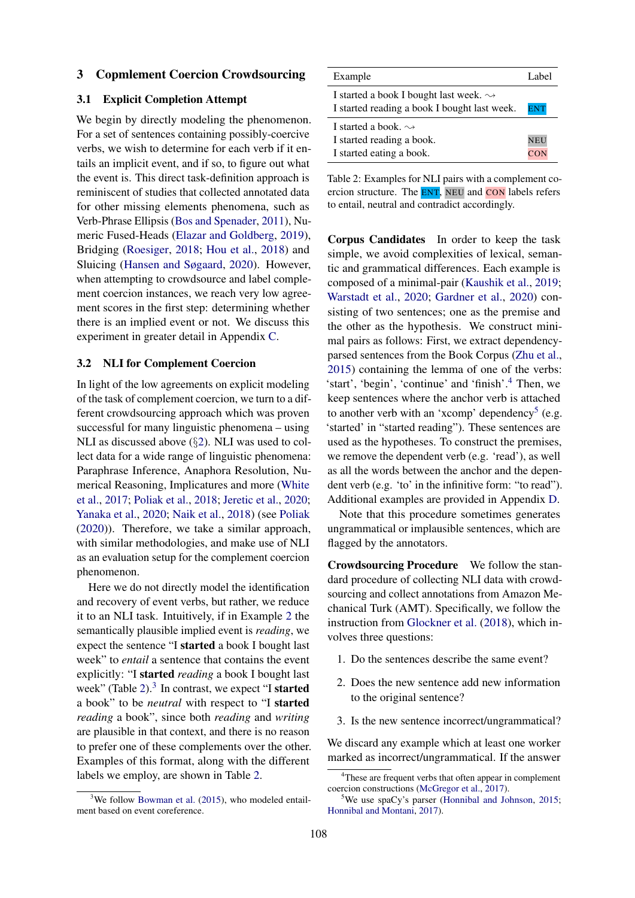#### <span id="page-2-0"></span>3 Copmlement Coercion Crowdsourcing

### 3.1 Explicit Completion Attempt

We begin by directly modeling the phenomenon. For a set of sentences containing possibly-coercive verbs, we wish to determine for each verb if it entails an implicit event, and if so, to figure out what the event is. This direct task-definition approach is reminiscent of studies that collected annotated data for other missing elements phenomena, such as Verb-Phrase Ellipsis [\(Bos and Spenader,](#page-5-4) [2011\)](#page-5-4), Numeric Fused-Heads [\(Elazar and Goldberg,](#page-5-5) [2019\)](#page-5-5), Bridging [\(Roesiger,](#page-7-7) [2018;](#page-7-7) [Hou et al.,](#page-5-6) [2018\)](#page-5-6) and Sluicing [\(Hansen and Søgaard,](#page-5-7) [2020\)](#page-5-7). However, when attempting to crowdsource and label complement coercion instances, we reach very low agreement scores in the first step: determining whether there is an implied event or not. We discuss this experiment in greater detail in Appendix [C.](#page-8-2)

#### <span id="page-2-5"></span>3.2 NLI for Complement Coercion

In light of the low agreements on explicit modeling of the task of complement coercion, we turn to a different crowdsourcing approach which was proven successful for many linguistic phenomena – using NLI as discussed above (§[2\)](#page-1-0). NLI was used to collect data for a wide range of linguistic phenomena: Paraphrase Inference, Anaphora Resolution, Numerical Reasoning, Implicatures and more [\(White](#page-7-8) [et al.,](#page-7-8) [2017;](#page-7-8) [Poliak et al.,](#page-6-7) [2018;](#page-6-7) [Jeretic et al.,](#page-6-8) [2020;](#page-6-8) [Yanaka et al.,](#page-7-6) [2020;](#page-7-6) [Naik et al.,](#page-6-6) [2018\)](#page-6-6) (see [Poliak](#page-6-9) [\(2020\)](#page-6-9)). Therefore, we take a similar approach, with similar methodologies, and make use of NLI as an evaluation setup for the complement coercion phenomenon.

Here we do not directly model the identification and recovery of event verbs, but rather, we reduce it to an NLI task. Intuitively, if in Example [2](#page-1-3) the semantically plausible implied event is *reading*, we expect the sentence "I started a book I bought last week" to *entail* a sentence that contains the event explicitly: "I started *reading* a book I bought last week" (Table  $2$ ).<sup>[3](#page-2-2)</sup> In contrast, we expect "I started a book" to be *neutral* with respect to "I started *reading* a book", since both *reading* and *writing* are plausible in that context, and there is no reason to prefer one of these complements over the other. Examples of this format, along with the different labels we employ, are shown in Table [2.](#page-2-1)

<span id="page-2-1"></span>

| Example                                                                                                 | Label             |
|---------------------------------------------------------------------------------------------------------|-------------------|
| I started a book I bought last week. $\rightsquigarrow$<br>I started reading a book I bought last week. | <b>ENT</b>        |
| I started a book. $\rightsquigarrow$<br>I started reading a book.<br>I started eating a book.           | <b>NEU</b><br>CON |

Table 2: Examples for NLI pairs with a complement coercion structure. The **ENT**, NEU and **CON** labels refers to entail, neutral and contradict accordingly.

Corpus Candidates In order to keep the task simple, we avoid complexities of lexical, semantic and grammatical differences. Each example is composed of a minimal-pair [\(Kaushik et al.,](#page-6-10) [2019;](#page-6-10) [Warstadt et al.,](#page-7-9) [2020;](#page-7-9) [Gardner et al.,](#page-5-8) [2020\)](#page-5-8) consisting of two sentences; one as the premise and the other as the hypothesis. We construct minimal pairs as follows: First, we extract dependencyparsed sentences from the Book Corpus [\(Zhu et al.,](#page-7-10) [2015\)](#page-7-10) containing the lemma of one of the verbs: 'start', 'begin', 'continue' and 'finish'.[4](#page-2-3) Then, we keep sentences where the anchor verb is attached to another verb with an 'xcomp' dependency<sup>[5](#page-2-4)</sup> (e.g. 'started' in "started reading"). These sentences are used as the hypotheses. To construct the premises, we remove the dependent verb (e.g. 'read'), as well as all the words between the anchor and the dependent verb (e.g. 'to' in the infinitive form: "to read"). Additional examples are provided in Appendix [D.](#page-9-0)

Note that this procedure sometimes generates ungrammatical or implausible sentences, which are flagged by the annotators.

Crowdsourcing Procedure We follow the standard procedure of collecting NLI data with crowdsourcing and collect annotations from Amazon Mechanical Turk (AMT). Specifically, we follow the instruction from [Glockner et al.](#page-5-9) [\(2018\)](#page-5-9), which involves three questions:

- 1. Do the sentences describe the same event?
- 2. Does the new sentence add new information to the original sentence?
- 3. Is the new sentence incorrect/ungrammatical?

We discard any example which at least one worker marked as incorrect/ungrammatical. If the answer

<span id="page-2-2"></span> $3$ We follow [Bowman et al.](#page-5-0) [\(2015\)](#page-5-0), who modeled entailment based on event coreference.

<span id="page-2-3"></span><sup>&</sup>lt;sup>4</sup>These are frequent verbs that often appear in complement coercion constructions [\(McGregor et al.,](#page-6-2) [2017\)](#page-6-2).

<span id="page-2-4"></span>We use spaCy's parser [\(Honnibal and Johnson,](#page-5-10) [2015;](#page-5-10) [Honnibal and Montani,](#page-5-11) [2017\)](#page-5-11).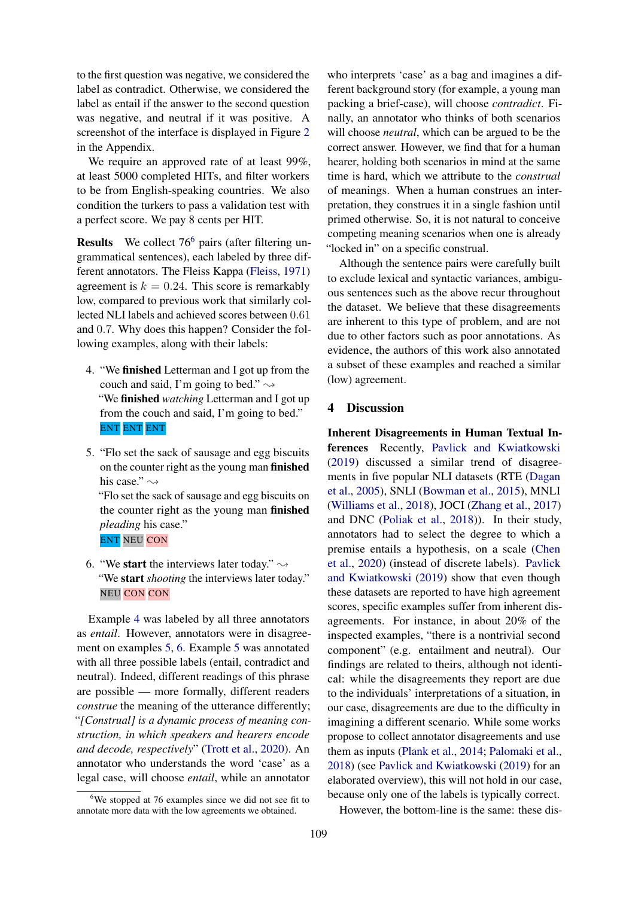to the first question was negative, we considered the label as contradict. Otherwise, we considered the label as entail if the answer to the second question was negative, and neutral if it was positive. A screenshot of the interface is displayed in Figure [2](#page-9-1) in the Appendix.

We require an approved rate of at least 99%, at least 5000 completed HITs, and filter workers to be from English-speaking countries. We also condition the turkers to pass a validation test with a perfect score. We pay 8 cents per HIT.

**Results** We collect  $76<sup>6</sup>$  $76<sup>6</sup>$  $76<sup>6</sup>$  pairs (after filtering ungrammatical sentences), each labeled by three different annotators. The Fleiss Kappa [\(Fleiss,](#page-5-12) [1971\)](#page-5-12) agreement is  $k = 0.24$ . This score is remarkably low, compared to previous work that similarly collected NLI labels and achieved scores between 0.61 and 0.7. Why does this happen? Consider the following examples, along with their labels:

- <span id="page-3-1"></span>4. "We finished Letterman and I got up from the couch and said, I'm going to bed."  $\rightsquigarrow$ "We finished *watching* Letterman and I got up from the couch and said, I'm going to bed." ENT ENT ENT
- <span id="page-3-2"></span>5. "Flo set the sack of sausage and egg biscuits on the counter right as the young man finished his case."  $\rightsquigarrow$

"Flo set the sack of sausage and egg biscuits on the counter right as the young man finished *pleading* his case." ENT NEU CON

<span id="page-3-3"></span>6. "We start the interviews later today."  $\rightsquigarrow$ "We start *shooting* the interviews later today." NEU CON CON

Example [4](#page-3-1) was labeled by all three annotators as *entail*. However, annotators were in disagreement on examples [5,](#page-3-2) [6.](#page-3-3) Example [5](#page-3-2) was annotated with all three possible labels (entail, contradict and neutral). Indeed, different readings of this phrase are possible — more formally, different readers *construe* the meaning of the utterance differently; "*[Construal] is a dynamic process of meaning construction, in which speakers and hearers encode and decode, respectively*" [\(Trott et al.,](#page-7-11) [2020\)](#page-7-11). An annotator who understands the word 'case' as a legal case, will choose *entail*, while an annotator

who interprets 'case' as a bag and imagines a different background story (for example, a young man packing a brief-case), will choose *contradict*. Finally, an annotator who thinks of both scenarios will choose *neutral*, which can be argued to be the correct answer. However, we find that for a human hearer, holding both scenarios in mind at the same time is hard, which we attribute to the *construal* of meanings. When a human construes an interpretation, they construes it in a single fashion until primed otherwise. So, it is not natural to conceive competing meaning scenarios when one is already "locked in" on a specific construal.

Although the sentence pairs were carefully built to exclude lexical and syntactic variances, ambiguous sentences such as the above recur throughout the dataset. We believe that these disagreements are inherent to this type of problem, and are not due to other factors such as poor annotations. As evidence, the authors of this work also annotated a subset of these examples and reached a similar (low) agreement.

### 4 Discussion

Inherent Disagreements in Human Textual Inferences Recently, [Pavlick and Kwiatkowski](#page-6-11) [\(2019\)](#page-6-11) discussed a similar trend of disagreements in five popular NLI datasets (RTE [\(Dagan](#page-5-3) [et al.,](#page-5-3) [2005\)](#page-5-3), SNLI [\(Bowman et al.,](#page-5-0) [2015\)](#page-5-0), MNLI [\(Williams et al.,](#page-7-4) [2018\)](#page-7-4), JOCI [\(Zhang et al.,](#page-7-12) [2017\)](#page-7-12) and DNC [\(Poliak et al.,](#page-6-7) [2018\)](#page-6-7)). In their study, annotators had to select the degree to which a premise entails a hypothesis, on a scale [\(Chen](#page-5-13) [et al.,](#page-5-13) [2020\)](#page-5-13) (instead of discrete labels). [Pavlick](#page-6-11) [and Kwiatkowski](#page-6-11) [\(2019\)](#page-6-11) show that even though these datasets are reported to have high agreement scores, specific examples suffer from inherent disagreements. For instance, in about 20% of the inspected examples, "there is a nontrivial second component" (e.g. entailment and neutral). Our findings are related to theirs, although not identical: while the disagreements they report are due to the individuals' interpretations of a situation, in our case, disagreements are due to the difficulty in imagining a different scenario. While some works propose to collect annotator disagreements and use them as inputs [\(Plank et al.,](#page-6-12) [2014;](#page-6-12) [Palomaki et al.,](#page-6-13) [2018\)](#page-6-13) (see [Pavlick and Kwiatkowski](#page-6-11) [\(2019\)](#page-6-11) for an elaborated overview), this will not hold in our case, because only one of the labels is typically correct.

However, the bottom-line is the same: these dis-

<span id="page-3-0"></span> $6$ We stopped at 76 examples since we did not see fit to annotate more data with the low agreements we obtained.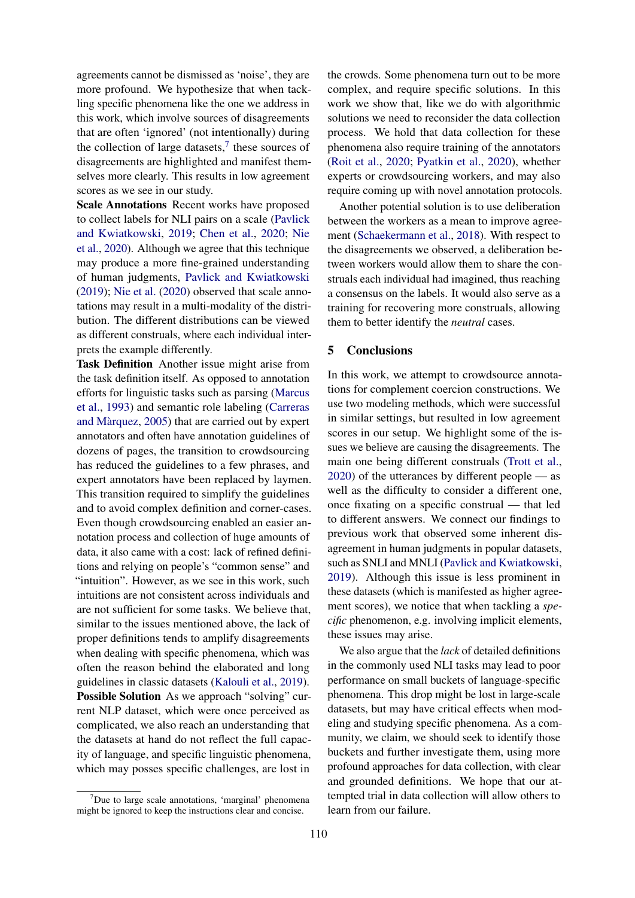agreements cannot be dismissed as 'noise', they are more profound. We hypothesize that when tackling specific phenomena like the one we address in this work, which involve sources of disagreements that are often 'ignored' (not intentionally) during the collection of large datasets, $\frac{7}{1}$  $\frac{7}{1}$  $\frac{7}{1}$  these sources of disagreements are highlighted and manifest themselves more clearly. This results in low agreement scores as we see in our study.

Scale Annotations Recent works have proposed to collect labels for NLI pairs on a scale [\(Pavlick](#page-6-11) [and Kwiatkowski,](#page-6-11) [2019;](#page-6-11) [Chen et al.,](#page-5-13) [2020;](#page-5-13) [Nie](#page-6-14) [et al.,](#page-6-14) [2020\)](#page-6-14). Although we agree that this technique may produce a more fine-grained understanding of human judgments, [Pavlick and Kwiatkowski](#page-6-11) [\(2019\)](#page-6-11); [Nie et al.](#page-6-14) [\(2020\)](#page-6-14) observed that scale annotations may result in a multi-modality of the distribution. The different distributions can be viewed as different construals, where each individual interprets the example differently.

Task Definition Another issue might arise from the task definition itself. As opposed to annotation efforts for linguistic tasks such as parsing [\(Marcus](#page-6-15) [et al.,](#page-6-15) [1993\)](#page-6-15) and semantic role labeling [\(Carreras](#page-5-14) and Màrquez, [2005\)](#page-5-14) that are carried out by expert annotators and often have annotation guidelines of dozens of pages, the transition to crowdsourcing has reduced the guidelines to a few phrases, and expert annotators have been replaced by laymen. This transition required to simplify the guidelines and to avoid complex definition and corner-cases. Even though crowdsourcing enabled an easier annotation process and collection of huge amounts of data, it also came with a cost: lack of refined definitions and relying on people's "common sense" and "intuition". However, as we see in this work, such intuitions are not consistent across individuals and are not sufficient for some tasks. We believe that, similar to the issues mentioned above, the lack of proper definitions tends to amplify disagreements when dealing with specific phenomena, which was often the reason behind the elaborated and long guidelines in classic datasets [\(Kalouli et al.,](#page-6-16) [2019\)](#page-6-16). Possible Solution As we approach "solving" current NLP dataset, which were once perceived as complicated, we also reach an understanding that the datasets at hand do not reflect the full capacity of language, and specific linguistic phenomena, which may posses specific challenges, are lost in

<span id="page-4-0"></span> $7$ Due to large scale annotations, 'marginal' phenomena might be ignored to keep the instructions clear and concise.

the crowds. Some phenomena turn out to be more complex, and require specific solutions. In this work we show that, like we do with algorithmic solutions we need to reconsider the data collection process. We hold that data collection for these phenomena also require training of the annotators [\(Roit et al.,](#page-7-13) [2020;](#page-7-13) [Pyatkin et al.,](#page-7-14) [2020\)](#page-7-14), whether experts or crowdsourcing workers, and may also require coming up with novel annotation protocols.

Another potential solution is to use deliberation between the workers as a mean to improve agreement [\(Schaekermann et al.,](#page-7-15) [2018\)](#page-7-15). With respect to the disagreements we observed, a deliberation between workers would allow them to share the construals each individual had imagined, thus reaching a consensus on the labels. It would also serve as a training for recovering more construals, allowing them to better identify the *neutral* cases.

### 5 Conclusions

In this work, we attempt to crowdsource annotations for complement coercion constructions. We use two modeling methods, which were successful in similar settings, but resulted in low agreement scores in our setup. We highlight some of the issues we believe are causing the disagreements. The main one being different construals [\(Trott et al.,](#page-7-11) [2020\)](#page-7-11) of the utterances by different people — as well as the difficulty to consider a different one, once fixating on a specific construal — that led to different answers. We connect our findings to previous work that observed some inherent disagreement in human judgments in popular datasets, such as SNLI and MNLI [\(Pavlick and Kwiatkowski,](#page-6-11) [2019\)](#page-6-11). Although this issue is less prominent in these datasets (which is manifested as higher agreement scores), we notice that when tackling a *specific* phenomenon, e.g. involving implicit elements, these issues may arise.

We also argue that the *lack* of detailed definitions in the commonly used NLI tasks may lead to poor performance on small buckets of language-specific phenomena. This drop might be lost in large-scale datasets, but may have critical effects when modeling and studying specific phenomena. As a community, we claim, we should seek to identify those buckets and further investigate them, using more profound approaches for data collection, with clear and grounded definitions. We hope that our attempted trial in data collection will allow others to learn from our failure.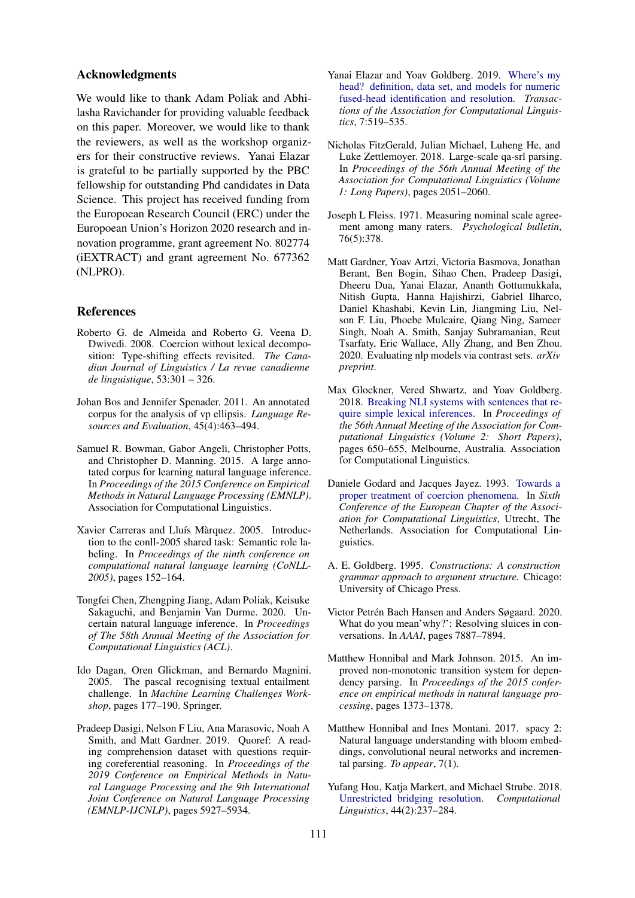#### Acknowledgments

We would like to thank Adam Poliak and Abhilasha Ravichander for providing valuable feedback on this paper. Moreover, we would like to thank the reviewers, as well as the workshop organizers for their constructive reviews. Yanai Elazar is grateful to be partially supported by the PBC fellowship for outstanding Phd candidates in Data Science. This project has received funding from the Europoean Research Council (ERC) under the Europoean Union's Horizon 2020 research and innovation programme, grant agreement No. 802774 (iEXTRACT) and grant agreement No. 677362 (NLPRO).

### References

- <span id="page-5-16"></span>Roberto G. de Almeida and Roberto G. Veena D. Dwivedi. 2008. Coercion without lexical decomposition: Type-shifting effects revisited. *The Canadian Journal of Linguistics / La revue canadienne de linguistique*, 53:301 – 326.
- <span id="page-5-4"></span>Johan Bos and Jennifer Spenader. 2011. An annotated corpus for the analysis of vp ellipsis. *Language Resources and Evaluation*, 45(4):463–494.
- <span id="page-5-0"></span>Samuel R. Bowman, Gabor Angeli, Christopher Potts, and Christopher D. Manning. 2015. A large annotated corpus for learning natural language inference. In *Proceedings of the 2015 Conference on Empirical Methods in Natural Language Processing (EMNLP)*. Association for Computational Linguistics.
- <span id="page-5-14"></span>Xavier Carreras and Lluís Màrquez. 2005. Introduction to the conll-2005 shared task: Semantic role labeling. In *Proceedings of the ninth conference on computational natural language learning (CoNLL-2005)*, pages 152–164.
- <span id="page-5-13"></span>Tongfei Chen, Zhengping Jiang, Adam Poliak, Keisuke Sakaguchi, and Benjamin Van Durme. 2020. Uncertain natural language inference. In *Proceedings of The 58th Annual Meeting of the Association for Computational Linguistics (ACL)*.
- <span id="page-5-3"></span>Ido Dagan, Oren Glickman, and Bernardo Magnini. 2005. The pascal recognising textual entailment challenge. In *Machine Learning Challenges Workshop*, pages 177–190. Springer.
- <span id="page-5-2"></span>Pradeep Dasigi, Nelson F Liu, Ana Marasovic, Noah A Smith, and Matt Gardner. 2019. Quoref: A reading comprehension dataset with questions requiring coreferential reasoning. In *Proceedings of the 2019 Conference on Empirical Methods in Natural Language Processing and the 9th International Joint Conference on Natural Language Processing (EMNLP-IJCNLP)*, pages 5927–5934.
- <span id="page-5-5"></span>Yanai Elazar and Yoav Goldberg. 2019. [Where's my](https://doi.org/10.1162/tacl_a_00280) [head? definition, data set, and models for numeric](https://doi.org/10.1162/tacl_a_00280) [fused-head identification and resolution.](https://doi.org/10.1162/tacl_a_00280) *Transactions of the Association for Computational Linguistics*, 7:519–535.
- <span id="page-5-1"></span>Nicholas FitzGerald, Julian Michael, Luheng He, and Luke Zettlemoyer. 2018. Large-scale qa-srl parsing. In *Proceedings of the 56th Annual Meeting of the Association for Computational Linguistics (Volume 1: Long Papers)*, pages 2051–2060.
- <span id="page-5-12"></span>Joseph L Fleiss. 1971. Measuring nominal scale agreement among many raters. *Psychological bulletin*, 76(5):378.
- <span id="page-5-8"></span>Matt Gardner, Yoav Artzi, Victoria Basmova, Jonathan Berant, Ben Bogin, Sihao Chen, Pradeep Dasigi, Dheeru Dua, Yanai Elazar, Ananth Gottumukkala, Nitish Gupta, Hanna Hajishirzi, Gabriel Ilharco, Daniel Khashabi, Kevin Lin, Jiangming Liu, Nelson F. Liu, Phoebe Mulcaire, Qiang Ning, Sameer Singh, Noah A. Smith, Sanjay Subramanian, Reut Tsarfaty, Eric Wallace, Ally Zhang, and Ben Zhou. 2020. Evaluating nlp models via contrast sets. *arXiv preprint*.
- <span id="page-5-9"></span>Max Glockner, Vered Shwartz, and Yoav Goldberg. 2018. [Breaking NLI systems with sentences that re](https://doi.org/10.18653/v1/P18-2103)[quire simple lexical inferences.](https://doi.org/10.18653/v1/P18-2103) In *Proceedings of the 56th Annual Meeting of the Association for Computational Linguistics (Volume 2: Short Papers)*, pages 650–655, Melbourne, Australia. Association for Computational Linguistics.
- <span id="page-5-17"></span>Daniele Godard and Jacques Jayez. 1993. [Towards a](https://www.aclweb.org/anthology/E93-1021) [proper treatment of coercion phenomena.](https://www.aclweb.org/anthology/E93-1021) In *Sixth Conference of the European Chapter of the Association for Computational Linguistics*, Utrecht, The Netherlands. Association for Computational Linguistics.
- <span id="page-5-15"></span>A. E. Goldberg. 1995. *Constructions: A construction grammar approach to argument structure.* Chicago: University of Chicago Press.
- <span id="page-5-7"></span>Victor Petrén Bach Hansen and Anders Søgaard. 2020. What do you mean'why?': Resolving sluices in conversations. In *AAAI*, pages 7887–7894.
- <span id="page-5-10"></span>Matthew Honnibal and Mark Johnson. 2015. An improved non-monotonic transition system for dependency parsing. In *Proceedings of the 2015 conference on empirical methods in natural language processing*, pages 1373–1378.
- <span id="page-5-11"></span>Matthew Honnibal and Ines Montani. 2017. spacy 2: Natural language understanding with bloom embeddings, convolutional neural networks and incremental parsing. *To appear*, 7(1).
- <span id="page-5-6"></span>Yufang Hou, Katja Markert, and Michael Strube. 2018. [Unrestricted bridging resolution.](https://doi.org/10.1162/COLI{_}a{_}00315) *Computational Linguistics*, 44(2):237–284.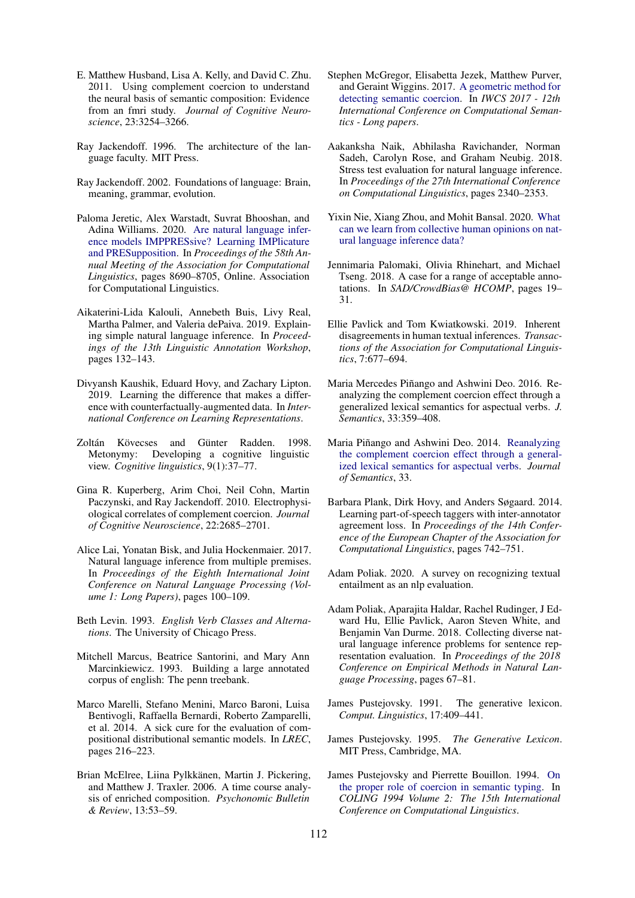- <span id="page-6-22"></span>E. Matthew Husband, Lisa A. Kelly, and David C. Zhu. 2011. Using complement coercion to understand the neural basis of semantic composition: Evidence from an fmri study. *Journal of Cognitive Neuroscience*, 23:3254–3266.
- <span id="page-6-17"></span>Ray Jackendoff. 1996. The architecture of the language faculty. MIT Press.
- <span id="page-6-18"></span>Ray Jackendoff. 2002. Foundations of language: Brain, meaning, grammar, evolution.
- <span id="page-6-8"></span>Paloma Jeretic, Alex Warstadt, Suvrat Bhooshan, and Adina Williams. 2020. [Are natural language infer](https://doi.org/10.18653/v1/2020.acl-main.768)[ence models IMPPRESsive? Learning IMPlicature](https://doi.org/10.18653/v1/2020.acl-main.768) [and PRESupposition.](https://doi.org/10.18653/v1/2020.acl-main.768) In *Proceedings of the 58th Annual Meeting of the Association for Computational Linguistics*, pages 8690–8705, Online. Association for Computational Linguistics.
- <span id="page-6-16"></span>Aikaterini-Lida Kalouli, Annebeth Buis, Livy Real, Martha Palmer, and Valeria dePaiva. 2019. Explaining simple natural language inference. In *Proceedings of the 13th Linguistic Annotation Workshop*, pages 132–143.
- <span id="page-6-10"></span>Divyansh Kaushik, Eduard Hovy, and Zachary Lipton. 2019. Learning the difference that makes a difference with counterfactually-augmented data. In *International Conference on Learning Representations*.
- <span id="page-6-19"></span>Zoltán Kövecses and Günter Radden. 1998. Metonymy: Developing a cognitive linguistic view. *Cognitive linguistics*, 9(1):37–77.
- <span id="page-6-20"></span>Gina R. Kuperberg, Arim Choi, Neil Cohn, Martin Paczynski, and Ray Jackendoff. 2010. Electrophysiological correlates of complement coercion. *Journal of Cognitive Neuroscience*, 22:2685–2701.
- <span id="page-6-5"></span>Alice Lai, Yonatan Bisk, and Julia Hockenmaier. 2017. Natural language inference from multiple premises. In *Proceedings of the Eighth International Joint Conference on Natural Language Processing (Volume 1: Long Papers)*, pages 100–109.
- <span id="page-6-3"></span>Beth Levin. 1993. *English Verb Classes and Alternations*. The University of Chicago Press.
- <span id="page-6-15"></span>Mitchell Marcus, Beatrice Santorini, and Mary Ann Marcinkiewicz. 1993. Building a large annotated corpus of english: The penn treebank.
- <span id="page-6-4"></span>Marco Marelli, Stefano Menini, Marco Baroni, Luisa Bentivogli, Raffaella Bernardi, Roberto Zamparelli, et al. 2014. A sick cure for the evaluation of compositional distributional semantic models. In *LREC*, pages 216–223.
- <span id="page-6-21"></span>Brian McElree, Liina Pylkkänen, Martin J. Pickering, and Matthew J. Traxler. 2006. A time course analysis of enriched composition. *Psychonomic Bulletin & Review*, 13:53–59.
- <span id="page-6-2"></span>Stephen McGregor, Elisabetta Jezek, Matthew Purver, and Geraint Wiggins. 2017. [A geometric method for](https://www.aclweb.org/anthology/W17-6813) [detecting semantic coercion.](https://www.aclweb.org/anthology/W17-6813) In *IWCS 2017 - 12th International Conference on Computational Semantics - Long papers*.
- <span id="page-6-6"></span>Aakanksha Naik, Abhilasha Ravichander, Norman Sadeh, Carolyn Rose, and Graham Neubig. 2018. Stress test evaluation for natural language inference. In *Proceedings of the 27th International Conference on Computational Linguistics*, pages 2340–2353.
- <span id="page-6-14"></span>Yixin Nie, Xiang Zhou, and Mohit Bansal. 2020. [What](http://arxiv.org/abs/arXiv:2010.03532) [can we learn from collective human opinions on nat](http://arxiv.org/abs/arXiv:2010.03532)[ural language inference data?](http://arxiv.org/abs/arXiv:2010.03532)
- <span id="page-6-13"></span>Jennimaria Palomaki, Olivia Rhinehart, and Michael Tseng. 2018. A case for a range of acceptable annotations. In *SAD/CrowdBias@ HCOMP*, pages 19– 31.
- <span id="page-6-11"></span>Ellie Pavlick and Tom Kwiatkowski. 2019. Inherent disagreements in human textual inferences. *Transactions of the Association for Computational Linguistics*, 7:677–694.
- <span id="page-6-23"></span>Maria Mercedes Piñango and Ashwini Deo. 2016. Reanalyzing the complement coercion effect through a generalized lexical semantics for aspectual verbs. *J. Semantics*, 33:359–408.
- <span id="page-6-24"></span>Maria Piñango and Ashwini Deo. 2014. [Reanalyzing](https://doi.org/10.1093/jos/ffv003) [the complement coercion effect through a general](https://doi.org/10.1093/jos/ffv003)[ized lexical semantics for aspectual verbs.](https://doi.org/10.1093/jos/ffv003) *Journal of Semantics*, 33.
- <span id="page-6-12"></span>Barbara Plank, Dirk Hovy, and Anders Søgaard. 2014. Learning part-of-speech taggers with inter-annotator agreement loss. In *Proceedings of the 14th Conference of the European Chapter of the Association for Computational Linguistics*, pages 742–751.
- <span id="page-6-9"></span>Adam Poliak. 2020. A survey on recognizing textual entailment as an nlp evaluation.
- <span id="page-6-7"></span>Adam Poliak, Aparajita Haldar, Rachel Rudinger, J Edward Hu, Ellie Pavlick, Aaron Steven White, and Benjamin Van Durme. 2018. Collecting diverse natural language inference problems for sentence representation evaluation. In *Proceedings of the 2018 Conference on Empirical Methods in Natural Language Processing*, pages 67–81.
- <span id="page-6-0"></span>James Pustejovsky. 1991. The generative lexicon. *Comput. Linguistics*, 17:409–441.
- <span id="page-6-1"></span>James Pustejovsky. 1995. *The Generative Lexicon*. MIT Press, Cambridge, MA.
- <span id="page-6-25"></span>James Pustejovsky and Pierrette Bouillon. 1994. [On](https://www.aclweb.org/anthology/C94-2112) [the proper role of coercion in semantic typing.](https://www.aclweb.org/anthology/C94-2112) In *COLING 1994 Volume 2: The 15th International Conference on Computational Linguistics*.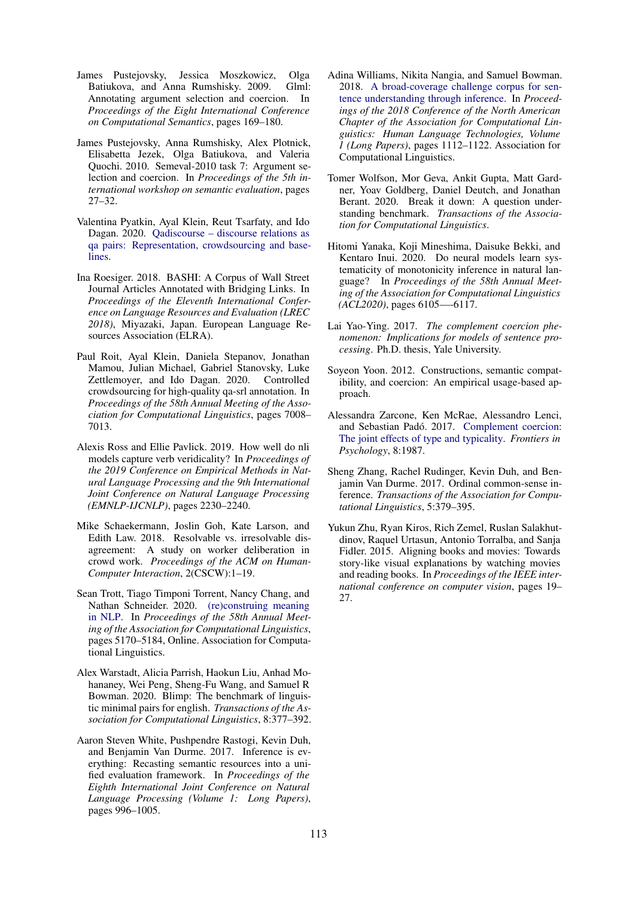- <span id="page-7-3"></span>James Pustejovsky, Jessica Moszkowicz, Olga Batiukova, and Anna Rumshisky. 2009. Glml: Annotating argument selection and coercion. In *Proceedings of the Eight International Conference on Computational Semantics*, pages 169–180.
- <span id="page-7-2"></span>James Pustejovsky, Anna Rumshisky, Alex Plotnick, Elisabetta Jezek, Olga Batiukova, and Valeria Quochi. 2010. Semeval-2010 task 7: Argument selection and coercion. In *Proceedings of the 5th international workshop on semantic evaluation*, pages 27–32.
- <span id="page-7-14"></span>Valentina Pyatkin, Ayal Klein, Reut Tsarfaty, and Ido Dagan. 2020. [Qadiscourse – discourse relations as](http://arxiv.org/abs/arXiv:2010.02815) [qa pairs: Representation, crowdsourcing and base](http://arxiv.org/abs/arXiv:2010.02815)[lines.](http://arxiv.org/abs/arXiv:2010.02815)
- <span id="page-7-7"></span>Ina Roesiger. 2018. BASHI: A Corpus of Wall Street Journal Articles Annotated with Bridging Links. In *Proceedings of the Eleventh International Conference on Language Resources and Evaluation (LREC 2018)*, Miyazaki, Japan. European Language Resources Association (ELRA).
- <span id="page-7-13"></span>Paul Roit, Ayal Klein, Daniela Stepanov, Jonathan Mamou, Julian Michael, Gabriel Stanovsky, Luke Zettlemoyer, and Ido Dagan. 2020. Controlled crowdsourcing for high-quality qa-srl annotation. In *Proceedings of the 58th Annual Meeting of the Association for Computational Linguistics*, pages 7008– 7013.
- <span id="page-7-5"></span>Alexis Ross and Ellie Pavlick. 2019. How well do nli models capture verb veridicality? In *Proceedings of the 2019 Conference on Empirical Methods in Natural Language Processing and the 9th International Joint Conference on Natural Language Processing (EMNLP-IJCNLP)*, pages 2230–2240.
- <span id="page-7-15"></span>Mike Schaekermann, Joslin Goh, Kate Larson, and Edith Law. 2018. Resolvable vs. irresolvable disagreement: A study on worker deliberation in crowd work. *Proceedings of the ACM on Human-Computer Interaction*, 2(CSCW):1–19.
- <span id="page-7-11"></span>Sean Trott, Tiago Timponi Torrent, Nancy Chang, and Nathan Schneider. 2020. [\(re\)construing meaning](https://doi.org/10.18653/v1/2020.acl-main.462) [in NLP.](https://doi.org/10.18653/v1/2020.acl-main.462) In *Proceedings of the 58th Annual Meeting of the Association for Computational Linguistics*, pages 5170–5184, Online. Association for Computational Linguistics.
- <span id="page-7-9"></span>Alex Warstadt, Alicia Parrish, Haokun Liu, Anhad Mohananey, Wei Peng, Sheng-Fu Wang, and Samuel R Bowman. 2020. Blimp: The benchmark of linguistic minimal pairs for english. *Transactions of the Association for Computational Linguistics*, 8:377–392.
- <span id="page-7-8"></span>Aaron Steven White, Pushpendre Rastogi, Kevin Duh, and Benjamin Van Durme. 2017. Inference is everything: Recasting semantic resources into a unified evaluation framework. In *Proceedings of the Eighth International Joint Conference on Natural Language Processing (Volume 1: Long Papers)*, pages 996–1005.
- <span id="page-7-4"></span>Adina Williams, Nikita Nangia, and Samuel Bowman. 2018. [A broad-coverage challenge corpus for sen](http://aclweb.org/anthology/N18-1101)[tence understanding through inference.](http://aclweb.org/anthology/N18-1101) In *Proceedings of the 2018 Conference of the North American Chapter of the Association for Computational Linguistics: Human Language Technologies, Volume 1 (Long Papers)*, pages 1112–1122. Association for Computational Linguistics.
- <span id="page-7-0"></span>Tomer Wolfson, Mor Geva, Ankit Gupta, Matt Gardner, Yoav Goldberg, Daniel Deutch, and Jonathan Berant. 2020. Break it down: A question understanding benchmark. *Transactions of the Association for Computational Linguistics*.
- <span id="page-7-6"></span>Hitomi Yanaka, Koji Mineshima, Daisuke Bekki, and Kentaro Inui. 2020. Do neural models learn systematicity of monotonicity inference in natural language? In *Proceedings of the 58th Annual Meeting of the Association for Computational Linguistics (ACL2020)*, pages 6105—-6117.
- <span id="page-7-17"></span>Lai Yao-Ying. 2017. *The complement coercion phenomenon: Implications for models of sentence processing*. Ph.D. thesis, Yale University.
- <span id="page-7-16"></span>Soyeon Yoon. 2012. Constructions, semantic compatibility, and coercion: An empirical usage-based approach.
- <span id="page-7-1"></span>Alessandra Zarcone, Ken McRae, Alessandro Lenci, and Sebastian Padó. 2017. [Complement coercion:](https://doi.org/10.3389/fpsyg.2017.01987) [The joint effects of type and typicality.](https://doi.org/10.3389/fpsyg.2017.01987) *Frontiers in Psychology*, 8:1987.
- <span id="page-7-12"></span>Sheng Zhang, Rachel Rudinger, Kevin Duh, and Benjamin Van Durme. 2017. Ordinal common-sense inference. *Transactions of the Association for Computational Linguistics*, 5:379–395.
- <span id="page-7-10"></span>Yukun Zhu, Ryan Kiros, Rich Zemel, Ruslan Salakhutdinov, Raquel Urtasun, Antonio Torralba, and Sanja Fidler. 2015. Aligning books and movies: Towards story-like visual explanations by watching movies and reading books. In *Proceedings of the IEEE international conference on computer vision*, pages 19– 27.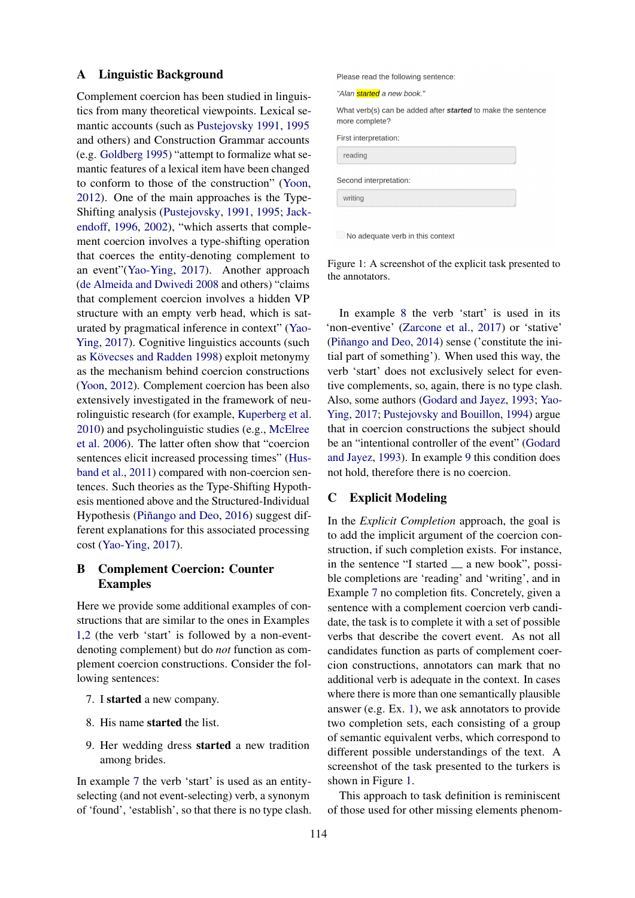#### <span id="page-8-0"></span>A Linguistic Background

Complement coercion has been studied in linguistics from many theoretical viewpoints. Lexical semantic accounts (such as [Pustejovsky](#page-6-0) [1991,](#page-6-0) [1995](#page-6-1) and others) and Construction Grammar accounts (e.g. [Goldberg](#page-5-15) [1995\)](#page-5-15) "attempt to formalize what semantic features of a lexical item have been changed to conform to those of the construction" [\(Yoon,](#page-7-16) [2012\)](#page-7-16). One of the main approaches is the Type-Shifting analysis [\(Pustejovsky,](#page-6-0) [1991,](#page-6-0) [1995;](#page-6-1) [Jack](#page-6-17)[endoff,](#page-6-17) [1996,](#page-6-17) [2002\)](#page-6-18), "which asserts that complement coercion involves a type-shifting operation that coerces the entity-denoting complement to an event"[\(Yao-Ying,](#page-7-17) [2017\)](#page-7-17). Another approach [\(de Almeida and Dwivedi](#page-5-16) [2008](#page-5-16) and others) "claims that complement coercion involves a hidden VP structure with an empty verb head, which is saturated by pragmatical inference in context" [\(Yao-](#page-7-17)[Ying,](#page-7-17) [2017\)](#page-7-17). Cognitive linguistics accounts (such as Kövecses and Radden [1998\)](#page-6-19) exploit metonymy as the mechanism behind coercion constructions [\(Yoon,](#page-7-16) [2012\)](#page-7-16). Complement coercion has been also extensively investigated in the framework of neurolinguistic research (for example, [Kuperberg et al.](#page-6-20) [2010\)](#page-6-20) and psycholinguistic studies (e.g., [McElree](#page-6-21) [et al.](#page-6-21) [2006\)](#page-6-21). The latter often show that "coercion sentences elicit increased processing times" [\(Hus](#page-6-22)[band et al.,](#page-6-22) [2011\)](#page-6-22) compared with non-coercion sentences. Such theories as the Type-Shifting Hypothesis mentioned above and the Structured-Individual Hypothesis (Piñango and Deo, [2016\)](#page-6-23) suggest different explanations for this associated processing cost [\(Yao-Ying,](#page-7-17) [2017\)](#page-7-17).

# <span id="page-8-1"></span>B Complement Coercion: Counter Examples

Here we provide some additional examples of constructions that are similar to the ones in Examples [1,](#page-1-2)[2](#page-1-3) (the verb 'start' is followed by a non-eventdenoting complement) but do *not* function as complement coercion constructions. Consider the following sentences:

- <span id="page-8-3"></span>7. I started a new company.
- <span id="page-8-4"></span>8. His name started the list.
- <span id="page-8-5"></span>9. Her wedding dress started a new tradition among brides.

In example [7](#page-8-3) the verb 'start' is used as an entityselecting (and not event-selecting) verb, a synonym of 'found', 'establish', so that there is no type clash. <span id="page-8-6"></span>Please read the following sentence:

"Alan started a new book."

What verb(s) can be added after started to make the sentence more complete?

|  | <b>First interpretation:</b> |  |
|--|------------------------------|--|
|  |                              |  |

| reading<br>×.          |
|------------------------|
| Second interpretation: |
| writing<br>×           |

 $\Box$  No adequate verb in this context

Figure 1: A screenshot of the explicit task presented to the annotators.

In example [8](#page-8-4) the verb 'start' is used in its 'non-eventive' [\(Zarcone et al.,](#page-7-1) [2017\)](#page-7-1) or 'stative' (Piñango and Deo,  $2014$ ) sense ('constitute the initial part of something'). When used this way, the verb 'start' does not exclusively select for eventive complements, so, again, there is no type clash. Also, some authors [\(Godard and Jayez,](#page-5-17) [1993;](#page-5-17) [Yao-](#page-7-17)[Ying,](#page-7-17) [2017;](#page-7-17) [Pustejovsky and Bouillon,](#page-6-25) [1994\)](#page-6-25) argue that in coercion constructions the subject should be an "intentional controller of the event" [\(Godard](#page-5-17) [and Jayez,](#page-5-17) [1993\)](#page-5-17). In example [9](#page-8-5) this condition does not hold, therefore there is no coercion.

### <span id="page-8-2"></span>C Explicit Modeling

In the *Explicit Completion* approach, the goal is to add the implicit argument of the coercion construction, if such completion exists. For instance, in the sentence "I started  $\equiv$  a new book", possible completions are 'reading' and 'writing', and in Example [7](#page-8-3) no completion fits. Concretely, given a sentence with a complement coercion verb candidate, the task is to complete it with a set of possible verbs that describe the covert event. As not all candidates function as parts of complement coercion constructions, annotators can mark that no additional verb is adequate in the context. In cases where there is more than one semantically plausible answer (e.g. Ex. [1\)](#page-1-2), we ask annotators to provide two completion sets, each consisting of a group of semantic equivalent verbs, which correspond to different possible understandings of the text. A screenshot of the task presented to the turkers is shown in Figure [1.](#page-8-6)

This approach to task definition is reminiscent of those used for other missing elements phenom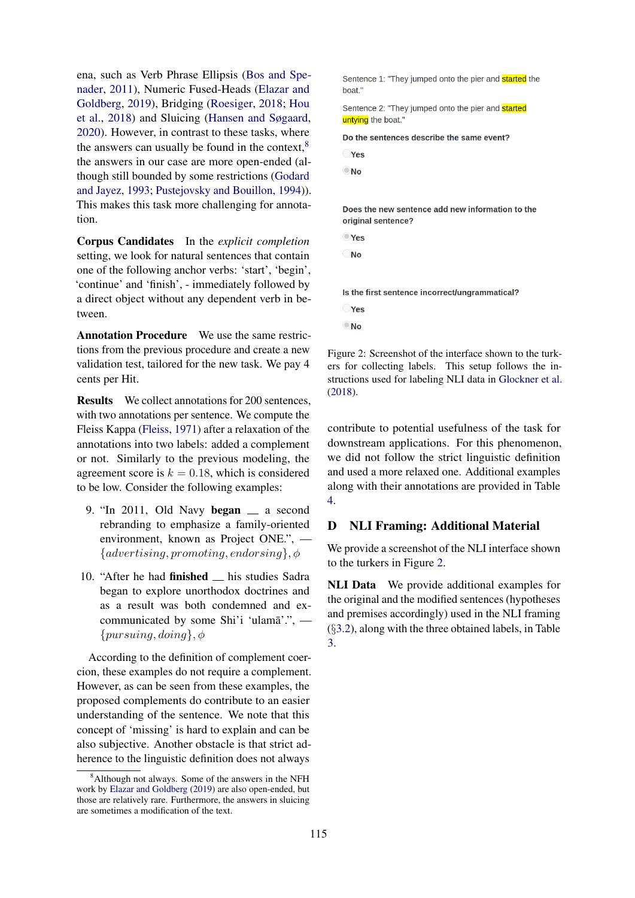ena, such as Verb Phrase Ellipsis [\(Bos and Spe](#page-5-4)[nader,](#page-5-4) [2011\)](#page-5-4), Numeric Fused-Heads [\(Elazar and](#page-5-5) [Goldberg,](#page-5-5) [2019\)](#page-5-5), Bridging [\(Roesiger,](#page-7-7) [2018;](#page-7-7) [Hou](#page-5-6) [et al.,](#page-5-6) [2018\)](#page-5-6) and Sluicing [\(Hansen and Søgaard,](#page-5-7) [2020\)](#page-5-7). However, in contrast to these tasks, where the answers can usually be found in the context, $8$ the answers in our case are more open-ended (although still bounded by some restrictions [\(Godard](#page-5-17) [and Jayez,](#page-5-17) [1993;](#page-5-17) [Pustejovsky and Bouillon,](#page-6-25) [1994\)](#page-6-25)). This makes this task more challenging for annotation.

Corpus Candidates In the *explicit completion* setting, we look for natural sentences that contain one of the following anchor verbs: 'start', 'begin', 'continue' and 'finish', - immediately followed by a direct object without any dependent verb in between.

Annotation Procedure We use the same restrictions from the previous procedure and create a new validation test, tailored for the new task. We pay 4 cents per Hit.

Results We collect annotations for 200 sentences, with two annotations per sentence. We compute the Fleiss Kappa [\(Fleiss,](#page-5-12) [1971\)](#page-5-12) after a relaxation of the annotations into two labels: added a complement or not. Similarly to the previous modeling, the agreement score is  $k = 0.18$ , which is considered to be low. Consider the following examples:

- 9. "In 2011, Old Navy began  $\equiv$  a second rebranding to emphasize a family-oriented environment, known as Project ONE.", —  ${adverting, promoting, endorsing}, \phi$
- 10. "After he had **finished** his studies Sadra began to explore unorthodox doctrines and as a result was both condemned and excommunicated by some Shi'i 'ulama'.",  ${pursuing, doing}, \phi$

According to the definition of complement coercion, these examples do not require a complement. However, as can be seen from these examples, the proposed complements do contribute to an easier understanding of the sentence. We note that this concept of 'missing' is hard to explain and can be also subjective. Another obstacle is that strict adherence to the linguistic definition does not always

<span id="page-9-1"></span>Sentence 1: "They jumped onto the pier and **started** the hoat<sup>1</sup>

Sentence 2: "They jumped onto the pier and started untving the boat."

Do the sentences describe the same event?

|  | __ |  |
|--|----|--|
|  |    |  |
|  |    |  |

|  | ٠         |
|--|-----------|
|  | . .<br>۰, |

Does the new sentence add new information to the original sentence?

| Y<br>٠<br>٠ |
|-------------|
|             |

Is the first sentence incorrect/ungrammatical? **Pres**  $\bigcirc$ No

Figure 2: Screenshot of the interface shown to the turkers for collecting labels. This setup follows the instructions used for labeling NLI data in [Glockner et al.](#page-5-9) [\(2018\)](#page-5-9).

contribute to potential usefulness of the task for downstream applications. For this phenomenon, we did not follow the strict linguistic definition and used a more relaxed one. Additional examples along with their annotations are provided in Table [4.](#page-10-0)

# <span id="page-9-0"></span>D NLI Framing: Additional Material

We provide a screenshot of the NLI interface shown to the turkers in Figure [2.](#page-9-1)

NLI Data We provide additional examples for the original and the modified sentences (hypotheses and premises accordingly) used in the NLI framing (§[3.2\)](#page-2-5), along with the three obtained labels, in Table [3.](#page-10-1)

<span id="page-9-2"></span><sup>&</sup>lt;sup>8</sup>Although not always. Some of the answers in the NFH work by [Elazar and Goldberg](#page-5-5) [\(2019\)](#page-5-5) are also open-ended, but those are relatively rare. Furthermore, the answers in sluicing are sometimes a modification of the text.